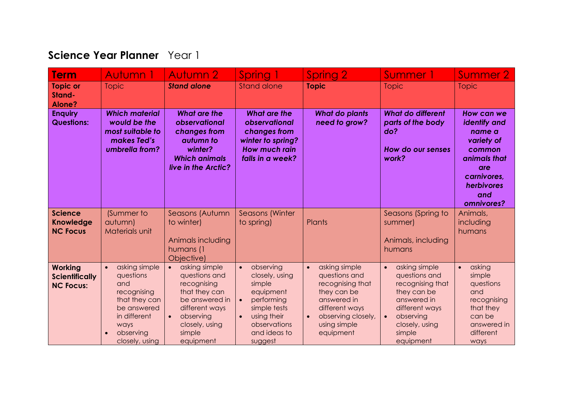## **Science Year Planner** Year 1

| <b>Term</b>                                                 | Autumn 1                                                                                                                                             | <b>Autumn 2</b>                                                                                                                                                                    | Spring 1                                                                                                                                                             | Spring 2                                                                                                                                                                        | Summer 1                                                                                                                                                                           | Summer 2                                                                                                                              |
|-------------------------------------------------------------|------------------------------------------------------------------------------------------------------------------------------------------------------|------------------------------------------------------------------------------------------------------------------------------------------------------------------------------------|----------------------------------------------------------------------------------------------------------------------------------------------------------------------|---------------------------------------------------------------------------------------------------------------------------------------------------------------------------------|------------------------------------------------------------------------------------------------------------------------------------------------------------------------------------|---------------------------------------------------------------------------------------------------------------------------------------|
| <b>Topic or</b><br>Stand-<br><b>Alone?</b>                  | <b>Topic</b>                                                                                                                                         | <b>Stand alone</b>                                                                                                                                                                 | <b>Stand alone</b>                                                                                                                                                   | <b>Topic</b>                                                                                                                                                                    | <b>Topic</b>                                                                                                                                                                       | <b>Topic</b>                                                                                                                          |
| <b>Enquiry</b><br><b>Questions:</b>                         | <b>Which material</b><br>would be the<br>most suitable to<br>makes Ted's<br>umbrella from?                                                           | <b>What are the</b><br>observational<br>changes from<br>autumn to<br>winter?<br><b>Which animals</b><br>live in the Arctic?                                                        | <b>What are the</b><br>observational<br>changes from<br>winter to spring?<br><b>How much rain</b><br>falls in a week?                                                | <b>What do plants</b><br>need to grow?                                                                                                                                          | <b>What do different</b><br>parts of the body<br>do?<br>How do our senses<br>work?                                                                                                 | How can we<br>identify and<br>name a<br>variety of<br>common<br>animals that<br>are<br>carnivores,<br>herbivores<br>and<br>omnivores? |
| <b>Science</b><br><b>Knowledge</b><br><b>NC Focus</b>       | (Summer to<br>autumn)<br>Materials unit                                                                                                              | Seasons (Autumn<br>to winter)<br>Animals including<br>humans (1<br>Objective)                                                                                                      | Seasons (Winter<br>to spring)                                                                                                                                        | Plants                                                                                                                                                                          | Seasons (Spring to<br>summer)<br>Animals, including<br>humans                                                                                                                      | Animals,<br>including<br>humans                                                                                                       |
| <b>Working</b><br><b>Scientifically</b><br><b>NC Focus:</b> | asking simple<br>$\bullet$<br>questions<br>and<br>recognising<br>that they can<br>be answered<br>in different<br>ways<br>observing<br>closely, using | asking simple<br>$\bullet$<br>questions and<br>recognising<br>that they can<br>be answered in<br>different ways<br>observing<br>$\bullet$<br>closely, using<br>simple<br>equipment | observing<br>$\bullet$<br>closely, using<br>simple<br>equipment<br>performing<br>$\bullet$<br>simple tests<br>using their<br>observations<br>and ideas to<br>suggest | asking simple<br>$\bullet$<br>questions and<br>recognising that<br>they can be<br>answered in<br>different ways<br>observing closely,<br>$\bullet$<br>using simple<br>equipment | asking simple<br>$\bullet$<br>questions and<br>recognising that<br>they can be<br>answered in<br>different ways<br>observing<br>$\bullet$<br>closely, using<br>simple<br>equipment | asking<br>$\bullet$<br>simple<br>questions<br>and<br>recognising<br>that they<br>can be<br>answered in<br>different<br>ways           |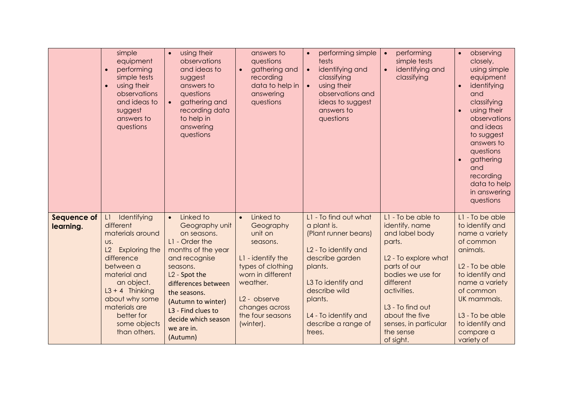|                                 | simple<br>equipment<br>performing<br>simple tests<br>using their<br>$\bullet$<br>observations<br>and ideas to<br>suggest<br>answers to<br>questions                                                                                                    | using their<br>$\bullet$<br>observations<br>and ideas to<br>suggest<br>answers to<br>questions<br>gathering and<br>recording data<br>to help in<br>answering<br>questions                                                                                                                     | answers to<br>questions<br>gathering and<br>recording<br>data to help in<br>answering<br>questions                                                                                                                   | performing simple<br>$\bullet$<br>tests<br>identifying and<br>$\bullet$<br>classifying<br>using their<br>$\bullet$<br>observations and<br>ideas to suggest<br>answers to<br>questions                                                     | performing<br>$\bullet$<br>simple tests<br>identifying and<br>$\bullet$<br>classifying                                                                                                                                                                         | observing<br>$\bullet$<br>closely,<br>using simple<br>equipment<br>identifying<br>and<br>classifying<br>using their<br>observations<br>and ideas<br>to suggest<br>answers to<br>questions<br>gathering<br>and<br>recording<br>data to help<br>in answering<br>questions |
|---------------------------------|--------------------------------------------------------------------------------------------------------------------------------------------------------------------------------------------------------------------------------------------------------|-----------------------------------------------------------------------------------------------------------------------------------------------------------------------------------------------------------------------------------------------------------------------------------------------|----------------------------------------------------------------------------------------------------------------------------------------------------------------------------------------------------------------------|-------------------------------------------------------------------------------------------------------------------------------------------------------------------------------------------------------------------------------------------|----------------------------------------------------------------------------------------------------------------------------------------------------------------------------------------------------------------------------------------------------------------|-------------------------------------------------------------------------------------------------------------------------------------------------------------------------------------------------------------------------------------------------------------------------|
| <b>Sequence of</b><br>learning. | Identifying<br>L1<br>different<br>materials around<br>US.<br><b>Exploring the</b><br>L2<br>difference<br>between a<br>material and<br>an object.<br>$L3 + 4$ Thinking<br>about why some<br>materials are<br>better for<br>some objects<br>than others. | Linked to<br>$\bullet$<br>Geography unit<br>on seasons.<br>L1 - Order the<br>months of the year<br>and recognise<br>seasons.<br>L <sub>2</sub> - Spot the<br>differences between<br>the seasons.<br>(Autumn to winter)<br>L3 - Find clues to<br>decide which season<br>we are in.<br>(Autumn) | Linked to<br>$\bullet$<br>Geography<br>unit on<br>seasons.<br>L1 - identify the<br>types of clothing<br>worn in different<br>weather.<br>L <sub>2</sub> - observe<br>changes across<br>the four seasons<br>(winter). | L1 - To find out what<br>a plant is.<br>(Plant runner beans)<br>L <sub>2</sub> - To identify and<br>describe garden<br>plants.<br>L3 To identify and<br>describe wild<br>plants.<br>L4 - To identify and<br>describe a range of<br>trees. | L1 - To be able to<br>identify, name<br>and label body<br>parts.<br>L2 - To explore what<br>parts of our<br>bodies we use for<br>different<br>activities.<br>L <sub>3</sub> - To find out<br>about the five<br>senses, in particular<br>the sense<br>of sight. | L1 - To be able<br>to identify and<br>name a variety<br>of common<br>animals.<br>L <sub>2</sub> - To be able<br>to identify and<br>name a variety<br>of common<br>UK mammals.<br>L <sub>3</sub> - To be able<br>to identify and<br>compare a<br>variety of              |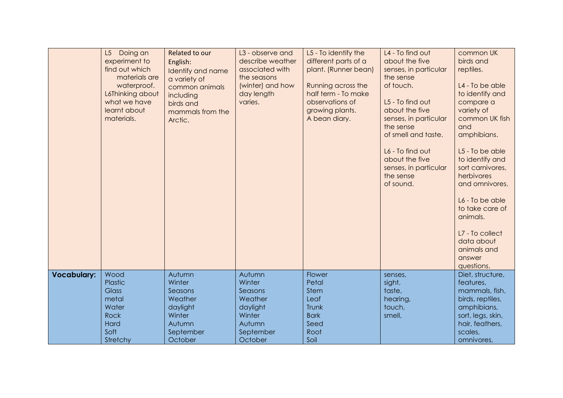|                    | L5 Doing an<br>experiment to<br>find out which<br>materials are<br>waterproof.<br>L6Thinking about<br>what we have<br>learnt about<br>materials. | Related to our<br>English:<br>Identify and name<br>a variety of<br>common animals<br>including<br>birds and<br>mammals from the<br>Arctic. | L3 - observe and<br>describe weather<br>associated with<br>the seasons<br>(winter) and how<br>day length<br>varies. | L5 - To identify the<br>different parts of a<br>plant. (Runner bean)<br>Running across the<br>half term - To make<br>observations of<br>growing plants.<br>A bean diary. | L4 - To find out<br>about the five<br>senses, in particular<br>the sense<br>of touch.<br>L5 - To find out<br>about the five<br>senses, in particular<br>the sense<br>of smell and taste.<br>L6 - To find out<br>about the five<br>senses, in particular<br>the sense<br>of sound. | common UK<br>birds and<br>reptiles.<br>L4 - To be able<br>to identify and<br>compare a<br>variety of<br>common UK fish<br>and<br>amphibians.<br>L5 - To be able<br>to identify and<br>sort carnivores,<br>herbivores<br>and omnivores.<br>L6 - To be able<br>to take care of<br>animals.<br>L7 - To collect<br>data about<br>animals and<br>answer<br>questions. |
|--------------------|--------------------------------------------------------------------------------------------------------------------------------------------------|--------------------------------------------------------------------------------------------------------------------------------------------|---------------------------------------------------------------------------------------------------------------------|--------------------------------------------------------------------------------------------------------------------------------------------------------------------------|-----------------------------------------------------------------------------------------------------------------------------------------------------------------------------------------------------------------------------------------------------------------------------------|------------------------------------------------------------------------------------------------------------------------------------------------------------------------------------------------------------------------------------------------------------------------------------------------------------------------------------------------------------------|
| <b>Vocabulary:</b> | Wood<br>Plastic<br><b>Glass</b><br>metal<br>Water<br><b>Rock</b><br>Hard<br>Soft<br>Stretchy                                                     | Autumn<br>Winter<br>Seasons<br>Weather<br>daylight<br>Winter<br>Autumn<br>September<br>October                                             | Autumn<br>Winter<br>Seasons<br>Weather<br>daylight<br>Winter<br>Autumn<br>September<br>October                      | Flower<br>Petal<br><b>Stem</b><br>Leaf<br>Trunk<br><b>Bark</b><br>Seed<br>Root<br>Soil                                                                                   | senses,<br>sight,<br>taste,<br>hearing,<br>touch,<br>smell,                                                                                                                                                                                                                       | Diet, structure,<br>features,<br>mammals, fish,<br>birds, reptiles,<br>amphibians,<br>sort, legs, skin,<br>hair, feathers,<br>scales,<br>omnivores,                                                                                                                                                                                                              |